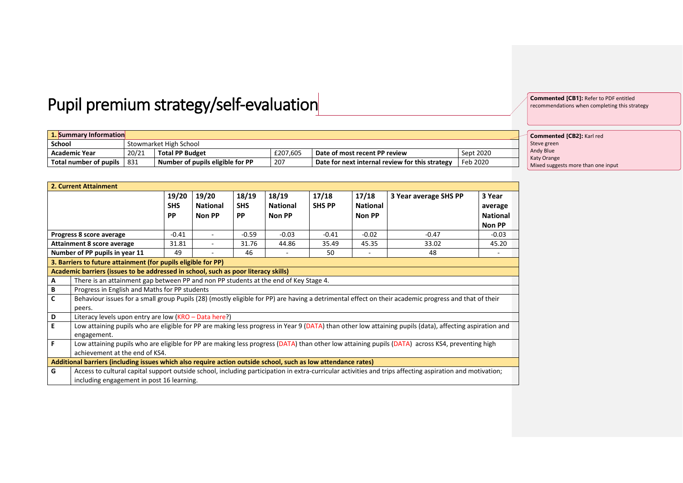## Pupil premium strategy/self-evaluation

**1. Summary Information Stowmarket High School**<br> **20/21 Total PP Budg Academic Year** 20/21 **Total PP Budget** £207,605 **Date of most recent PP review** Sept 2020<br> **Total number of pupils** 831 Number of pupils eligible for PP 207 Date for next internal review for this strategy Feb 2020 **Total number of pupils** 831 **Number of pupils eligible for PP** 207 **Date for next internal review for this strategy** Feb 2020

| 2. Current Attainment                                                                                                                                                                  |                                                                                                                                                                                                       |                                  |                                    |                                  |                                    |                        |                                    |                       |                                                |
|----------------------------------------------------------------------------------------------------------------------------------------------------------------------------------------|-------------------------------------------------------------------------------------------------------------------------------------------------------------------------------------------------------|----------------------------------|------------------------------------|----------------------------------|------------------------------------|------------------------|------------------------------------|-----------------------|------------------------------------------------|
|                                                                                                                                                                                        |                                                                                                                                                                                                       | 19/20<br><b>SHS</b><br><b>PP</b> | 19/20<br><b>National</b><br>Non PP | 18/19<br><b>SHS</b><br><b>PP</b> | 18/19<br><b>National</b><br>Non PP | 17/18<br><b>SHS PP</b> | 17/18<br><b>National</b><br>Non PP | 3 Year average SHS PP | 3 Year<br>average<br><b>National</b><br>Non PP |
|                                                                                                                                                                                        | Progress 8 score average                                                                                                                                                                              | $-0.41$                          |                                    | $-0.59$                          | $-0.03$                            | $-0.41$                | $-0.02$                            | $-0.47$               | $-0.03$                                        |
|                                                                                                                                                                                        | <b>Attainment 8 score average</b>                                                                                                                                                                     | 31.81                            | $\blacksquare$                     | 31.76                            | 44.86                              | 35.49                  | 45.35                              | 33.02                 | 45.20                                          |
|                                                                                                                                                                                        | Number of PP pupils in year 11                                                                                                                                                                        | 49                               |                                    | 46                               | -                                  | 50                     | $\overline{\phantom{m}}$           | 48                    | -                                              |
|                                                                                                                                                                                        | 3. Barriers to future attainment (for pupils eligible for PP)                                                                                                                                         |                                  |                                    |                                  |                                    |                        |                                    |                       |                                                |
|                                                                                                                                                                                        | Academic barriers (issues to be addressed in school, such as poor literacy skills)                                                                                                                    |                                  |                                    |                                  |                                    |                        |                                    |                       |                                                |
| A                                                                                                                                                                                      | There is an attainment gap between PP and non PP students at the end of Key Stage 4.                                                                                                                  |                                  |                                    |                                  |                                    |                        |                                    |                       |                                                |
| В                                                                                                                                                                                      | Progress in English and Maths for PP students                                                                                                                                                         |                                  |                                    |                                  |                                    |                        |                                    |                       |                                                |
| C                                                                                                                                                                                      | Behaviour issues for a small group Pupils (28) (mostly eligible for PP) are having a detrimental effect on their academic progress and that of their<br>peers.                                        |                                  |                                    |                                  |                                    |                        |                                    |                       |                                                |
| D                                                                                                                                                                                      | Literacy levels upon entry are low (KRO - Data here?)                                                                                                                                                 |                                  |                                    |                                  |                                    |                        |                                    |                       |                                                |
| E                                                                                                                                                                                      | Low attaining pupils who are eligible for PP are making less progress in Year 9 (DATA) than other low attaining pupils (data), affecting aspiration and<br>engagement.                                |                                  |                                    |                                  |                                    |                        |                                    |                       |                                                |
| F<br>Low attaining pupils who are eligible for PP are making less progress (DATA) than other low attaining pupils (DATA) across KS4, preventing high<br>achievement at the end of KS4. |                                                                                                                                                                                                       |                                  |                                    |                                  |                                    |                        |                                    |                       |                                                |
|                                                                                                                                                                                        | Additional barriers (including issues which also require action outside school, such as low attendance rates)                                                                                         |                                  |                                    |                                  |                                    |                        |                                    |                       |                                                |
| G                                                                                                                                                                                      | Access to cultural capital support outside school, including participation in extra-curricular activities and trips affecting aspiration and motivation;<br>including engagement in post 16 learning. |                                  |                                    |                                  |                                    |                        |                                    |                       |                                                |

**Commented [CB1]:** Refer to PDF entitled recommendations when completing this strategy

**Commented [CB2]:** Karl red Steve green Andy Blue Katy Orange **Mixed suggests more than one input**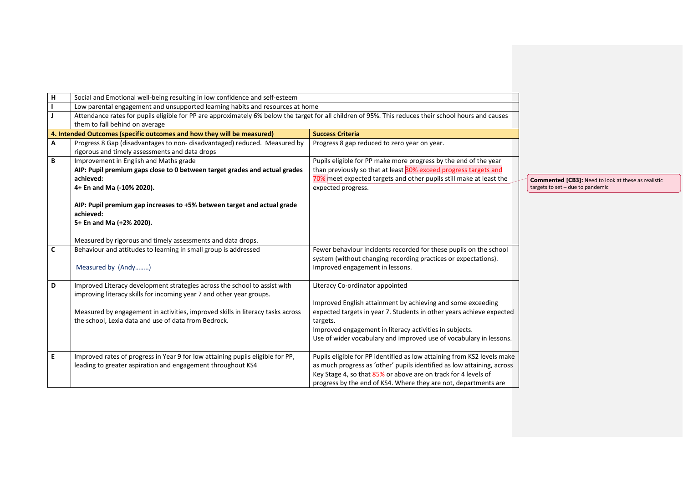| H            | Social and Emotional well-being resulting in low confidence and self-esteem                                                                           |                                                                                                                                                                        |                                                            |
|--------------|-------------------------------------------------------------------------------------------------------------------------------------------------------|------------------------------------------------------------------------------------------------------------------------------------------------------------------------|------------------------------------------------------------|
|              | Low parental engagement and unsupported learning habits and resources at home                                                                         |                                                                                                                                                                        |                                                            |
| J            | Attendance rates for pupils eligible for PP are approximately 6% below the target for all children of 95%. This reduces their school hours and causes |                                                                                                                                                                        |                                                            |
|              | them to fall behind on average                                                                                                                        |                                                                                                                                                                        |                                                            |
|              | 4. Intended Outcomes (specific outcomes and how they will be measured)                                                                                | <b>Success Criteria</b>                                                                                                                                                |                                                            |
| А            | Progress 8 Gap (disadvantages to non-disadvantaged) reduced. Measured by<br>rigorous and timely assessments and data drops                            | Progress 8 gap reduced to zero year on year.                                                                                                                           |                                                            |
| B            | Improvement in English and Maths grade                                                                                                                | Pupils eligible for PP make more progress by the end of the year                                                                                                       |                                                            |
|              | AIP: Pupil premium gaps close to 0 between target grades and actual grades                                                                            | than previously so that at least 30% exceed progress targets and                                                                                                       |                                                            |
|              | achieved:                                                                                                                                             | 70% meet expected targets and other pupils still make at least the                                                                                                     | <b>Commented [CB3]: Need to look at these as realistic</b> |
|              | 4+ En and Ma (-10% 2020).                                                                                                                             | expected progress.                                                                                                                                                     | targets to set - due to pandemic                           |
|              | AIP: Pupil premium gap increases to +5% between target and actual grade<br>achieved:<br>5+ En and Ma (+2% 2020).                                      |                                                                                                                                                                        |                                                            |
|              | Measured by rigorous and timely assessments and data drops.                                                                                           |                                                                                                                                                                        |                                                            |
| $\mathsf{C}$ | Behaviour and attitudes to learning in small group is addressed<br>Measured by (Andy)                                                                 | Fewer behaviour incidents recorded for these pupils on the school<br>system (without changing recording practices or expectations).<br>Improved engagement in lessons. |                                                            |
| D            | Improved Literacy development strategies across the school to assist with<br>improving literacy skills for incoming year 7 and other year groups.     | Literacy Co-ordinator appointed                                                                                                                                        |                                                            |
|              | Measured by engagement in activities, improved skills in literacy tasks across                                                                        | Improved English attainment by achieving and some exceeding<br>expected targets in year 7. Students in other years achieve expected                                    |                                                            |
|              | the school, Lexia data and use of data from Bedrock.                                                                                                  | targets.                                                                                                                                                               |                                                            |
|              |                                                                                                                                                       | Improved engagement in literacy activities in subjects.                                                                                                                |                                                            |
|              |                                                                                                                                                       | Use of wider vocabulary and improved use of vocabulary in lessons.                                                                                                     |                                                            |
|              |                                                                                                                                                       |                                                                                                                                                                        |                                                            |
| E.           | Improved rates of progress in Year 9 for low attaining pupils eligible for PP,                                                                        | Pupils eligible for PP identified as low attaining from KS2 levels make                                                                                                |                                                            |
|              | leading to greater aspiration and engagement throughout KS4                                                                                           | as much progress as 'other' pupils identified as low attaining, across                                                                                                 |                                                            |
|              |                                                                                                                                                       | Key Stage 4, so that 85% or above are on track for 4 levels of                                                                                                         |                                                            |
|              |                                                                                                                                                       | progress by the end of KS4. Where they are not, departments are                                                                                                        |                                                            |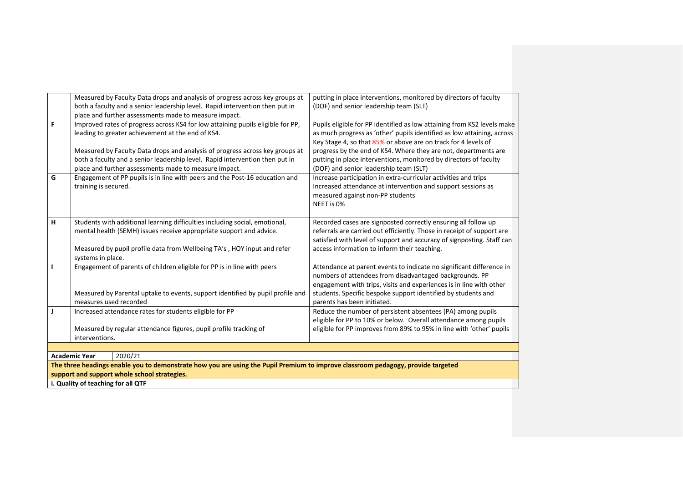|   |                                    | Measured by Faculty Data drops and analysis of progress across key groups at                                                     | putting in place interventions, monitored by directors of faculty       |
|---|------------------------------------|----------------------------------------------------------------------------------------------------------------------------------|-------------------------------------------------------------------------|
|   |                                    | both a faculty and a senior leadership level. Rapid intervention then put in                                                     | (DOF) and senior leadership team (SLT)                                  |
|   |                                    | place and further assessments made to measure impact.                                                                            |                                                                         |
| F |                                    | Improved rates of progress across KS4 for low attaining pupils eligible for PP,                                                  | Pupils eligible for PP identified as low attaining from KS2 levels make |
|   |                                    | leading to greater achievement at the end of KS4.                                                                                | as much progress as 'other' pupils identified as low attaining, across  |
|   |                                    |                                                                                                                                  | Key Stage 4, so that 85% or above are on track for 4 levels of          |
|   |                                    | Measured by Faculty Data drops and analysis of progress across key groups at                                                     | progress by the end of KS4. Where they are not, departments are         |
|   |                                    | both a faculty and a senior leadership level. Rapid intervention then put in                                                     | putting in place interventions, monitored by directors of faculty       |
|   |                                    | place and further assessments made to measure impact.                                                                            | (DOF) and senior leadership team (SLT)                                  |
| G |                                    | Engagement of PP pupils is in line with peers and the Post-16 education and                                                      | Increase participation in extra-curricular activities and trips         |
|   | training is secured.               |                                                                                                                                  | Increased attendance at intervention and support sessions as            |
|   |                                    |                                                                                                                                  | measured against non-PP students                                        |
|   |                                    |                                                                                                                                  | NEET is 0%                                                              |
|   |                                    |                                                                                                                                  |                                                                         |
| H |                                    | Students with additional learning difficulties including social, emotional,                                                      | Recorded cases are signposted correctly ensuring all follow up          |
|   |                                    | mental health (SEMH) issues receive appropriate support and advice.                                                              | referrals are carried out efficiently. Those in receipt of support are  |
|   |                                    |                                                                                                                                  | satisfied with level of support and accuracy of signposting. Staff can  |
|   |                                    | Measured by pupil profile data from Wellbeing TA's, HOY input and refer                                                          | access information to inform their teaching.                            |
|   | systems in place.                  |                                                                                                                                  |                                                                         |
| т |                                    | Engagement of parents of children eligible for PP is in line with peers                                                          | Attendance at parent events to indicate no significant difference in    |
|   |                                    |                                                                                                                                  | numbers of attendees from disadvantaged backgrounds. PP                 |
|   |                                    |                                                                                                                                  | engagement with trips, visits and experiences is in line with other     |
|   |                                    | Measured by Parental uptake to events, support identified by pupil profile and                                                   | students. Specific bespoke support identified by students and           |
|   | measures used recorded             |                                                                                                                                  | parents has been initiated.                                             |
| J |                                    | Increased attendance rates for students eligible for PP                                                                          | Reduce the number of persistent absentees (PA) among pupils             |
|   |                                    |                                                                                                                                  | eligible for PP to 10% or below. Overall attendance among pupils        |
|   |                                    | Measured by regular attendance figures, pupil profile tracking of                                                                | eligible for PP improves from 89% to 95% in line with 'other' pupils    |
|   | interventions.                     |                                                                                                                                  |                                                                         |
|   |                                    |                                                                                                                                  |                                                                         |
|   | <b>Academic Year</b>               | 2020/21                                                                                                                          |                                                                         |
|   |                                    | The three headings enable you to demonstrate how you are using the Pupil Premium to improve classroom pedagogy, provide targeted |                                                                         |
|   |                                    | support and support whole school strategies.                                                                                     |                                                                         |
|   | i. Quality of teaching for all QTF |                                                                                                                                  |                                                                         |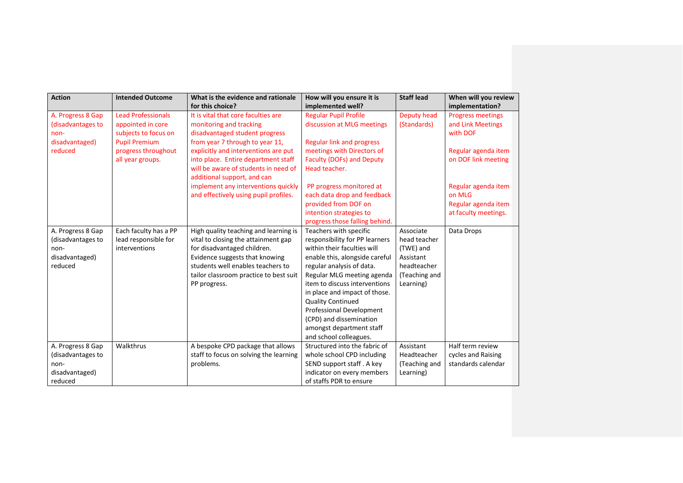| <b>Action</b>                                                               | <b>Intended Outcome</b>                                                | What is the evidence and rationale<br>for this choice?                                                                                                                                                                                       | How will you ensure it is<br>implemented well?                                                                                                                                                                                                                                                                                                                                                  | <b>Staff lead</b>                                                                                | When will you review<br>implementation?                      |
|-----------------------------------------------------------------------------|------------------------------------------------------------------------|----------------------------------------------------------------------------------------------------------------------------------------------------------------------------------------------------------------------------------------------|-------------------------------------------------------------------------------------------------------------------------------------------------------------------------------------------------------------------------------------------------------------------------------------------------------------------------------------------------------------------------------------------------|--------------------------------------------------------------------------------------------------|--------------------------------------------------------------|
| A. Progress 8 Gap<br>(disadvantages to<br>non-                              | <b>Lead Professionals</b><br>appointed in core<br>subjects to focus on | It is vital that core faculties are<br>monitoring and tracking<br>disadvantaged student progress                                                                                                                                             | <b>Regular Pupil Profile</b><br>discussion at MLG meetings                                                                                                                                                                                                                                                                                                                                      | Deputy head<br>(Standards)                                                                       | <b>Progress meetings</b><br>and Link Meetings<br>with DOF    |
| disadvantaged)<br>reduced                                                   | <b>Pupil Premium</b><br>progress throughout<br>all year groups.        | from year 7 through to year 11,<br>explicitly and interventions are put<br>into place. Entire department staff                                                                                                                               | <b>Regular link and progress</b><br>meetings with Directors of<br><b>Faculty (DOFs) and Deputy</b>                                                                                                                                                                                                                                                                                              |                                                                                                  | Regular agenda item<br>on DOF link meeting                   |
|                                                                             |                                                                        | will be aware of students in need of<br>additional support, and can                                                                                                                                                                          | Head teacher.                                                                                                                                                                                                                                                                                                                                                                                   |                                                                                                  |                                                              |
|                                                                             |                                                                        | implement any interventions quickly<br>and effectively using pupil profiles.                                                                                                                                                                 | PP progress monitored at<br>each data drop and feedback<br>provided from DOF on                                                                                                                                                                                                                                                                                                                 |                                                                                                  | Regular agenda item<br>on MLG<br>Regular agenda item         |
|                                                                             |                                                                        |                                                                                                                                                                                                                                              | intention strategies to<br>progress those falling behind.                                                                                                                                                                                                                                                                                                                                       |                                                                                                  | at faculty meetings.                                         |
| A. Progress 8 Gap<br>(disadvantages to<br>non-<br>disadvantaged)<br>reduced | Each faculty has a PP<br>lead responsible for<br>interventions         | High quality teaching and learning is<br>vital to closing the attainment gap<br>for disadvantaged children.<br>Evidence suggests that knowing<br>students well enables teachers to<br>tailor classroom practice to best suit<br>PP progress. | Teachers with specific<br>responsibility for PP learners<br>within their faculties will<br>enable this, alongside careful<br>regular analysis of data.<br>Regular MLG meeting agenda<br>item to discuss interventions<br>in place and impact of those.<br><b>Quality Continued</b><br>Professional Development<br>(CPD) and dissemination<br>amongst department staff<br>and school colleagues. | Associate<br>head teacher<br>(TWE) and<br>Assistant<br>headteacher<br>(Teaching and<br>Learning) | Data Drops                                                   |
| A. Progress 8 Gap<br>(disadvantages to<br>non-<br>disadvantaged)<br>reduced | Walkthrus                                                              | A bespoke CPD package that allows<br>staff to focus on solving the learning<br>problems.                                                                                                                                                     | Structured into the fabric of<br>whole school CPD including<br>SEND support staff. A key<br>indicator on every members<br>of staffs PDR to ensure                                                                                                                                                                                                                                               | Assistant<br>Headteacher<br>(Teaching and<br>Learning)                                           | Half term review<br>cycles and Raising<br>standards calendar |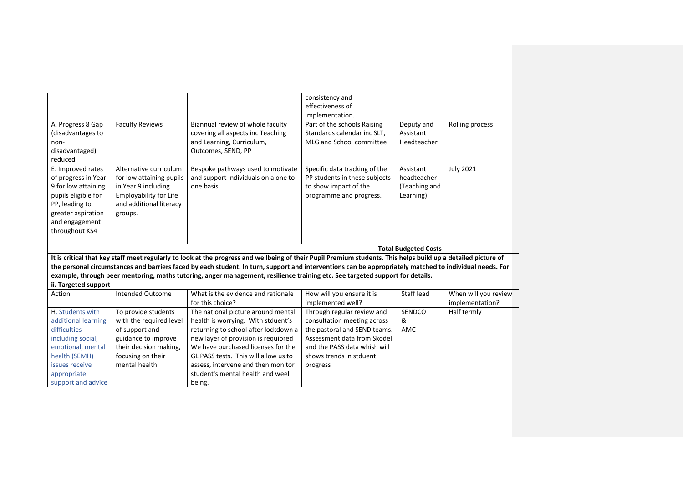|                      |                          |                                                                                                                                                               | consistency and               |                             |                      |
|----------------------|--------------------------|---------------------------------------------------------------------------------------------------------------------------------------------------------------|-------------------------------|-----------------------------|----------------------|
|                      |                          |                                                                                                                                                               | effectiveness of              |                             |                      |
|                      |                          |                                                                                                                                                               | implementation.               |                             |                      |
| A. Progress 8 Gap    | <b>Faculty Reviews</b>   | Biannual review of whole faculty                                                                                                                              | Part of the schools Raising   | Deputy and                  | Rolling process      |
| (disadvantages to    |                          | covering all aspects inc Teaching                                                                                                                             | Standards calendar inc SLT,   | Assistant                   |                      |
| non-                 |                          | and Learning, Curriculum,                                                                                                                                     | MLG and School committee      | Headteacher                 |                      |
| disadvantaged)       |                          | Outcomes, SEND, PP                                                                                                                                            |                               |                             |                      |
| reduced              |                          |                                                                                                                                                               |                               |                             |                      |
| E. Improved rates    | Alternative curriculum   | Bespoke pathways used to motivate                                                                                                                             | Specific data tracking of the | Assistant                   | <b>July 2021</b>     |
| of progress in Year  | for low attaining pupils | and support individuals on a one to                                                                                                                           | PP students in these subjects | headteacher                 |                      |
| 9 for low attaining  | in Year 9 including      | one basis.                                                                                                                                                    | to show impact of the         | (Teaching and               |                      |
| pupils eligible for  | Employability for Life   |                                                                                                                                                               | programme and progress.       | Learning)                   |                      |
| PP, leading to       | and additional literacy  |                                                                                                                                                               |                               |                             |                      |
| greater aspiration   | groups.                  |                                                                                                                                                               |                               |                             |                      |
| and engagement       |                          |                                                                                                                                                               |                               |                             |                      |
| throughout KS4       |                          |                                                                                                                                                               |                               |                             |                      |
|                      |                          |                                                                                                                                                               |                               |                             |                      |
|                      |                          |                                                                                                                                                               |                               | <b>Total Budgeted Costs</b> |                      |
|                      |                          | It is critical that key staff meet regularly to look at the progress and wellbeing of their Pupil Premium students. This helps build up a detailed picture of |                               |                             |                      |
|                      |                          | the personal circumstances and barriers faced by each student. In turn, support and interventions can be appropriately matched to individual needs. For       |                               |                             |                      |
|                      |                          | example, through peer mentoring, maths tutoring, anger management, resilience training etc. See targeted support for details.                                 |                               |                             |                      |
| ii. Targeted support |                          |                                                                                                                                                               |                               |                             |                      |
| Action               | <b>Intended Outcome</b>  | What is the evidence and rationale                                                                                                                            | How will you ensure it is     | Staff lead                  | When will you review |
|                      |                          | for this choice?                                                                                                                                              | implemented well?             |                             | implementation?      |
| H. Students with     | To provide students      | The national picture around mental                                                                                                                            | Through regular review and    | SENDCO                      | Half termly          |
| additional learning  | with the required level  | health is worrying. With stduent's                                                                                                                            | consultation meeting across   | &                           |                      |
| difficulties         | of support and           | returning to school after lockdown a                                                                                                                          | the pastoral and SEND teams.  | AMC                         |                      |
| including social,    | guidance to improve      | new layer of provision is requiored                                                                                                                           | Assessment data from Skodel   |                             |                      |
| emotional, mental    | their decision making,   | We have purchased licenses for the                                                                                                                            | and the PASS data whish will  |                             |                      |
| health (SEMH)        |                          |                                                                                                                                                               | shows trends in stduent       |                             |                      |
|                      | focusing on their        | GL PASS tests. This will allow us to                                                                                                                          |                               |                             |                      |
| issues receive       | mental health.           | assess, intervene and then monitor                                                                                                                            | progress                      |                             |                      |
| appropriate          |                          | student's mental health and weel                                                                                                                              |                               |                             |                      |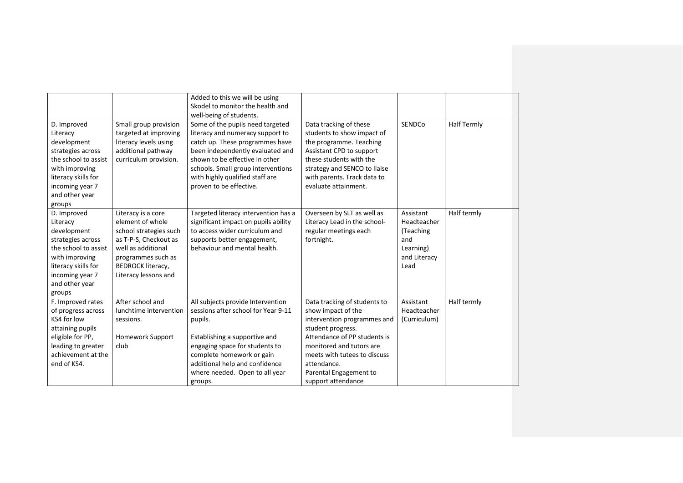|                      |                          | Added to this we will be using       |                              |              |                    |
|----------------------|--------------------------|--------------------------------------|------------------------------|--------------|--------------------|
|                      |                          | Skodel to monitor the health and     |                              |              |                    |
|                      |                          | well-being of students.              |                              |              |                    |
| D. Improved          | Small group provision    | Some of the pupils need targeted     | Data tracking of these       | SENDCo       | <b>Half Termly</b> |
| Literacy             | targeted at improving    | literacy and numeracy support to     | students to show impact of   |              |                    |
| development          | literacy levels using    | catch up. These programmes have      | the programme. Teaching      |              |                    |
| strategies across    | additional pathway       | been independently evaluated and     | Assistant CPD to support     |              |                    |
| the school to assist | curriculum provision.    | shown to be effective in other       | these students with the      |              |                    |
| with improving       |                          | schools. Small group interventions   | strategy and SENCO to liaise |              |                    |
| literacy skills for  |                          | with highly qualified staff are      | with parents. Track data to  |              |                    |
| incoming year 7      |                          | proven to be effective.              | evaluate attainment.         |              |                    |
| and other year       |                          |                                      |                              |              |                    |
| groups               |                          |                                      |                              |              |                    |
| D. Improved          | Literacy is a core       | Targeted literacy intervention has a | Overseen by SLT as well as   | Assistant    | Half termly        |
| Literacy             | element of whole         | significant impact on pupils ability | Literacy Lead in the school- | Headteacher  |                    |
| development          | school strategies such   | to access wider curriculum and       | regular meetings each        | (Teaching    |                    |
| strategies across    | as T-P-S, Checkout as    | supports better engagement,          | fortnight.                   | and          |                    |
| the school to assist | well as additional       | behaviour and mental health.         |                              | Learning)    |                    |
| with improving       | programmes such as       |                                      |                              | and Literacy |                    |
| literacy skills for  | <b>BEDROCK literacy,</b> |                                      |                              | Lead         |                    |
| incoming year 7      | Literacy lessons and     |                                      |                              |              |                    |
| and other year       |                          |                                      |                              |              |                    |
| groups               |                          |                                      |                              |              |                    |
| F. Improved rates    | After school and         | All subjects provide Intervention    | Data tracking of students to | Assistant    | Half termly        |
| of progress across   | lunchtime intervention   | sessions after school for Year 9-11  | show impact of the           | Headteacher  |                    |
| KS4 for low          | sessions.                | pupils.                              | intervention programmes and  | (Curriculum) |                    |
| attaining pupils     |                          |                                      | student progress.            |              |                    |
| eligible for PP,     | Homework Support         | Establishing a supportive and        | Attendance of PP students is |              |                    |
| leading to greater   | club                     | engaging space for students to       | monitored and tutors are     |              |                    |
| achievement at the   |                          | complete homework or gain            | meets with tutees to discuss |              |                    |
| end of KS4.          |                          | additional help and confidence       | attendance.                  |              |                    |
|                      |                          | where needed. Open to all year       | Parental Engagement to       |              |                    |
|                      |                          | groups.                              | support attendance           |              |                    |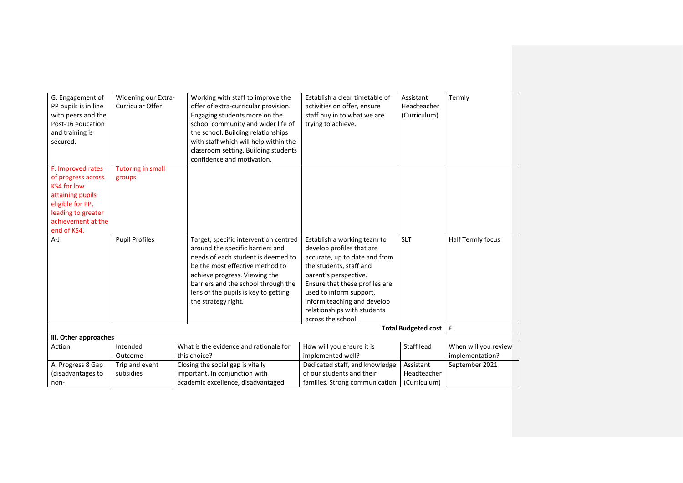| G. Engagement of<br>PP pupils is in line<br>with peers and the<br>Post-16 education<br>and training is<br>secured.                                        | Widening our Extra-<br><b>Curricular Offer</b> | Working with staff to improve the<br>offer of extra-curricular provision.<br>Engaging students more on the<br>school community and wider life of<br>the school. Building relationships<br>with staff which will help within the<br>classroom setting. Building students<br>confidence and motivation. | Establish a clear timetable of<br>activities on offer, ensure<br>staff buy in to what we are<br>trying to achieve.                                                                                                                                                                             | Assistant<br>Headteacher<br>(Curriculum) | Termly                                  |
|-----------------------------------------------------------------------------------------------------------------------------------------------------------|------------------------------------------------|-------------------------------------------------------------------------------------------------------------------------------------------------------------------------------------------------------------------------------------------------------------------------------------------------------|------------------------------------------------------------------------------------------------------------------------------------------------------------------------------------------------------------------------------------------------------------------------------------------------|------------------------------------------|-----------------------------------------|
| F. Improved rates<br>of progress across<br>KS4 for low<br>attaining pupils<br>eligible for PP,<br>leading to greater<br>achievement at the<br>end of KS4. | <b>Tutoring in small</b><br>groups             |                                                                                                                                                                                                                                                                                                       |                                                                                                                                                                                                                                                                                                |                                          |                                         |
| $A-J$                                                                                                                                                     | <b>Pupil Profiles</b>                          | Target, specific intervention centred<br>around the specific barriers and<br>needs of each student is deemed to<br>be the most effective method to<br>achieve progress. Viewing the<br>barriers and the school through the<br>lens of the pupils is key to getting<br>the strategy right.             | Establish a working team to<br>develop profiles that are<br>accurate, up to date and from<br>the students, staff and<br>parent's perspective.<br>Ensure that these profiles are<br>used to inform support,<br>inform teaching and develop<br>relationships with students<br>across the school. | <b>SLT</b>                               | Half Termly focus                       |
|                                                                                                                                                           |                                                |                                                                                                                                                                                                                                                                                                       |                                                                                                                                                                                                                                                                                                | Total Budgeted cost   £                  |                                         |
| iii. Other approaches                                                                                                                                     |                                                |                                                                                                                                                                                                                                                                                                       |                                                                                                                                                                                                                                                                                                |                                          |                                         |
| Action                                                                                                                                                    | Intended<br>Outcome                            | What is the evidence and rationale for<br>this choice?                                                                                                                                                                                                                                                | How will you ensure it is<br>implemented well?                                                                                                                                                                                                                                                 | Staff lead                               | When will you review<br>implementation? |
| A. Progress 8 Gap                                                                                                                                         | Trip and event                                 | Closing the social gap is vitally                                                                                                                                                                                                                                                                     | Dedicated staff, and knowledge                                                                                                                                                                                                                                                                 | Assistant                                | September 2021                          |
| (disadvantages to                                                                                                                                         | subsidies                                      | important. In conjunction with                                                                                                                                                                                                                                                                        | of our students and their                                                                                                                                                                                                                                                                      | Headteacher                              |                                         |
| non-                                                                                                                                                      |                                                | academic excellence, disadvantaged                                                                                                                                                                                                                                                                    | families. Strong communication                                                                                                                                                                                                                                                                 | (Curriculum)                             |                                         |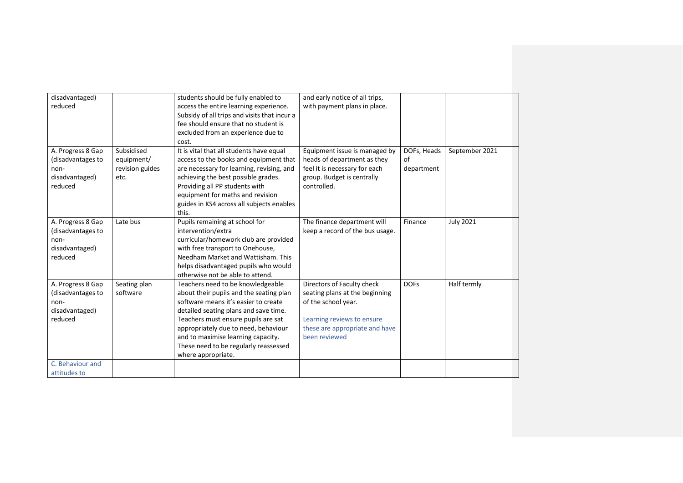| disadvantaged)<br>and early notice of all trips,<br>students should be fully enabled to<br>reduced<br>with payment plans in place.<br>access the entire learning experience.<br>Subsidy of all trips and visits that incur a<br>fee should ensure that no student is<br>excluded from an experience due to<br>cost.<br>A. Progress 8 Gap<br>Subsidised<br>DOFs, Heads<br>It is vital that all students have equal<br>Equipment issue is managed by<br>September 2021<br>(disadvantages to<br>access to the books and equipment that<br>heads of department as they<br>equipment/<br>of<br>revision guides<br>are necessary for learning, revising, and<br>feel it is necessary for each<br>department<br>non-<br>achieving the best possible grades.<br>group. Budget is centrally<br>disadvantaged)<br>etc.<br>Providing all PP students with<br>controlled.<br>reduced<br>equipment for maths and revision |
|--------------------------------------------------------------------------------------------------------------------------------------------------------------------------------------------------------------------------------------------------------------------------------------------------------------------------------------------------------------------------------------------------------------------------------------------------------------------------------------------------------------------------------------------------------------------------------------------------------------------------------------------------------------------------------------------------------------------------------------------------------------------------------------------------------------------------------------------------------------------------------------------------------------|
|                                                                                                                                                                                                                                                                                                                                                                                                                                                                                                                                                                                                                                                                                                                                                                                                                                                                                                              |
|                                                                                                                                                                                                                                                                                                                                                                                                                                                                                                                                                                                                                                                                                                                                                                                                                                                                                                              |
|                                                                                                                                                                                                                                                                                                                                                                                                                                                                                                                                                                                                                                                                                                                                                                                                                                                                                                              |
|                                                                                                                                                                                                                                                                                                                                                                                                                                                                                                                                                                                                                                                                                                                                                                                                                                                                                                              |
|                                                                                                                                                                                                                                                                                                                                                                                                                                                                                                                                                                                                                                                                                                                                                                                                                                                                                                              |
|                                                                                                                                                                                                                                                                                                                                                                                                                                                                                                                                                                                                                                                                                                                                                                                                                                                                                                              |
|                                                                                                                                                                                                                                                                                                                                                                                                                                                                                                                                                                                                                                                                                                                                                                                                                                                                                                              |
|                                                                                                                                                                                                                                                                                                                                                                                                                                                                                                                                                                                                                                                                                                                                                                                                                                                                                                              |
|                                                                                                                                                                                                                                                                                                                                                                                                                                                                                                                                                                                                                                                                                                                                                                                                                                                                                                              |
|                                                                                                                                                                                                                                                                                                                                                                                                                                                                                                                                                                                                                                                                                                                                                                                                                                                                                                              |
|                                                                                                                                                                                                                                                                                                                                                                                                                                                                                                                                                                                                                                                                                                                                                                                                                                                                                                              |
|                                                                                                                                                                                                                                                                                                                                                                                                                                                                                                                                                                                                                                                                                                                                                                                                                                                                                                              |
| guides in KS4 across all subjects enables                                                                                                                                                                                                                                                                                                                                                                                                                                                                                                                                                                                                                                                                                                                                                                                                                                                                    |
| this.                                                                                                                                                                                                                                                                                                                                                                                                                                                                                                                                                                                                                                                                                                                                                                                                                                                                                                        |
| A. Progress 8 Gap<br><b>July 2021</b><br>Late bus<br>Pupils remaining at school for<br>The finance department will<br>Finance                                                                                                                                                                                                                                                                                                                                                                                                                                                                                                                                                                                                                                                                                                                                                                                |
| intervention/extra<br>keep a record of the bus usage.<br>(disadvantages to                                                                                                                                                                                                                                                                                                                                                                                                                                                                                                                                                                                                                                                                                                                                                                                                                                   |
| curricular/homework club are provided<br>non-                                                                                                                                                                                                                                                                                                                                                                                                                                                                                                                                                                                                                                                                                                                                                                                                                                                                |
| with free transport to Onehouse,<br>disadvantaged)                                                                                                                                                                                                                                                                                                                                                                                                                                                                                                                                                                                                                                                                                                                                                                                                                                                           |
| Needham Market and Wattisham. This<br>reduced                                                                                                                                                                                                                                                                                                                                                                                                                                                                                                                                                                                                                                                                                                                                                                                                                                                                |
| helps disadvantaged pupils who would                                                                                                                                                                                                                                                                                                                                                                                                                                                                                                                                                                                                                                                                                                                                                                                                                                                                         |
| otherwise not be able to attend.                                                                                                                                                                                                                                                                                                                                                                                                                                                                                                                                                                                                                                                                                                                                                                                                                                                                             |
| A. Progress 8 Gap<br>Directors of Faculty check<br><b>DOFs</b><br>Half termly<br>Seating plan<br>Teachers need to be knowledgeable                                                                                                                                                                                                                                                                                                                                                                                                                                                                                                                                                                                                                                                                                                                                                                           |
| software<br>about their pupils and the seating plan<br>seating plans at the beginning<br>(disadvantages to                                                                                                                                                                                                                                                                                                                                                                                                                                                                                                                                                                                                                                                                                                                                                                                                   |
| software means it's easier to create<br>of the school year.<br>non-                                                                                                                                                                                                                                                                                                                                                                                                                                                                                                                                                                                                                                                                                                                                                                                                                                          |
| disadvantaged)<br>detailed seating plans and save time.                                                                                                                                                                                                                                                                                                                                                                                                                                                                                                                                                                                                                                                                                                                                                                                                                                                      |
| Learning reviews to ensure<br>reduced<br>Teachers must ensure pupils are sat                                                                                                                                                                                                                                                                                                                                                                                                                                                                                                                                                                                                                                                                                                                                                                                                                                 |
| appropriately due to need, behaviour<br>these are appropriate and have                                                                                                                                                                                                                                                                                                                                                                                                                                                                                                                                                                                                                                                                                                                                                                                                                                       |
| and to maximise learning capacity.<br>been reviewed                                                                                                                                                                                                                                                                                                                                                                                                                                                                                                                                                                                                                                                                                                                                                                                                                                                          |
| These need to be regularly reassessed                                                                                                                                                                                                                                                                                                                                                                                                                                                                                                                                                                                                                                                                                                                                                                                                                                                                        |
| where appropriate.                                                                                                                                                                                                                                                                                                                                                                                                                                                                                                                                                                                                                                                                                                                                                                                                                                                                                           |
| C. Behaviour and                                                                                                                                                                                                                                                                                                                                                                                                                                                                                                                                                                                                                                                                                                                                                                                                                                                                                             |
| attitudes to                                                                                                                                                                                                                                                                                                                                                                                                                                                                                                                                                                                                                                                                                                                                                                                                                                                                                                 |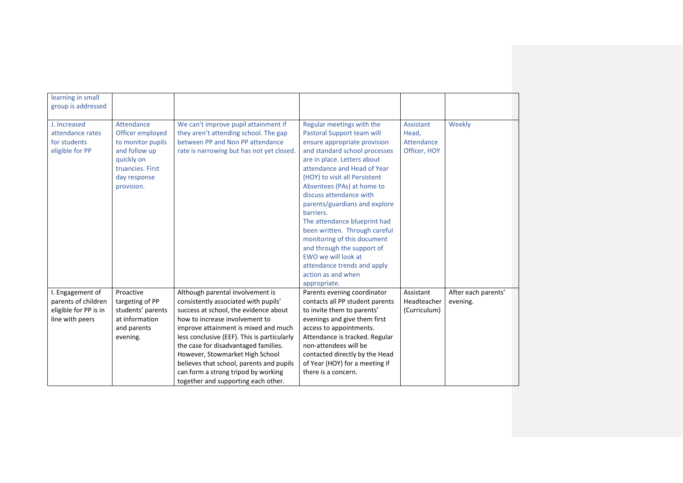| learning in small<br>group is addressed |                   |                                                                             |                                                                  |              |                     |
|-----------------------------------------|-------------------|-----------------------------------------------------------------------------|------------------------------------------------------------------|--------------|---------------------|
|                                         |                   |                                                                             |                                                                  |              |                     |
| J. Increased                            | Attendance        | We can't improve pupil attainment if                                        | Regular meetings with the                                        | Assistant    | Weekly              |
| attendance rates                        | Officer employed  | they aren't attending school. The gap                                       | Pastoral Support team will                                       | Head.        |                     |
| for students                            | to monitor pupils | between PP and Non PP attendance                                            | ensure appropriate provision                                     | Attendance   |                     |
| eligible for PP                         | and follow up     | rate is narrowing but has not yet closed.                                   | and standard school processes                                    | Officer, HOY |                     |
|                                         | quickly on        |                                                                             | are in place. Letters about                                      |              |                     |
|                                         | truancies. First  |                                                                             | attendance and Head of Year                                      |              |                     |
|                                         | day response      |                                                                             | (HOY) to visit all Persistent                                    |              |                     |
|                                         | provision.        |                                                                             | Absentees (PAs) at home to                                       |              |                     |
|                                         |                   |                                                                             | discuss attendance with<br>parents/guardians and explore         |              |                     |
|                                         |                   |                                                                             | barriers.                                                        |              |                     |
|                                         |                   |                                                                             | The attendance blueprint had                                     |              |                     |
|                                         |                   |                                                                             | been written. Through careful                                    |              |                     |
|                                         |                   |                                                                             | monitoring of this document                                      |              |                     |
|                                         |                   |                                                                             | and through the support of                                       |              |                     |
|                                         |                   |                                                                             | EWO we will look at                                              |              |                     |
|                                         |                   |                                                                             | attendance trends and apply                                      |              |                     |
|                                         |                   |                                                                             | action as and when                                               |              |                     |
|                                         |                   |                                                                             | appropriate.                                                     |              |                     |
| I. Engagement of                        | Proactive         | Although parental involvement is                                            | Parents evening coordinator                                      | Assistant    | After each parents' |
| parents of children                     | targeting of PP   | consistently associated with pupils'                                        | contacts all PP student parents                                  | Headteacher  | evening.            |
| eligible for PP is in                   | students' parents | success at school, the evidence about                                       | to invite them to parents'                                       | (Curriculum) |                     |
| line with peers                         | at information    | how to increase involvement to                                              | evenings and give them first                                     |              |                     |
|                                         | and parents       | improve attainment is mixed and much                                        | access to appointments.                                          |              |                     |
|                                         | evening.          | less conclusive (EEF). This is particularly                                 | Attendance is tracked. Regular                                   |              |                     |
|                                         |                   | the case for disadvantaged families.                                        | non-attendees will be                                            |              |                     |
|                                         |                   | However, Stowmarket High School<br>believes that school, parents and pupils | contacted directly by the Head<br>of Year (HOY) for a meeting if |              |                     |
|                                         |                   | can form a strong tripod by working                                         | there is a concern.                                              |              |                     |
|                                         |                   | together and supporting each other.                                         |                                                                  |              |                     |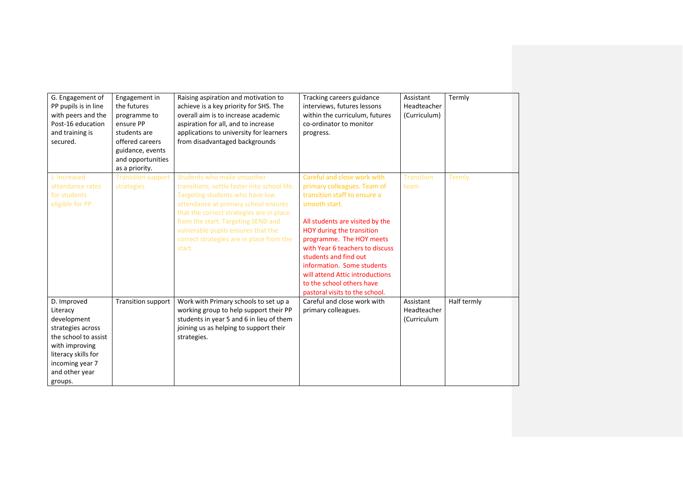| G. Engagement of<br>PP pupils is in line<br>with peers and the<br>Post-16 education<br>and training is<br>secured.                                                           | Engagement in<br>the futures<br>programme to<br>ensure PP<br>students are<br>offered careers<br>guidance, events<br>and opportunities<br>as a priority. | Raising aspiration and motivation to<br>achieve is a key priority for SHS. The<br>overall aim is to increase academic<br>aspiration for all, and to increase<br>applications to university for learners<br>from disadvantaged backgrounds                                                                                           | Tracking careers guidance<br>interviews, futures lessons<br>within the curriculum, futures<br>co-ordinator to monitor<br>progress.                                                                                                                                                                                                                                                                  | Assistant<br>Headteacher<br>(Curriculum) | Termly      |
|------------------------------------------------------------------------------------------------------------------------------------------------------------------------------|---------------------------------------------------------------------------------------------------------------------------------------------------------|-------------------------------------------------------------------------------------------------------------------------------------------------------------------------------------------------------------------------------------------------------------------------------------------------------------------------------------|-----------------------------------------------------------------------------------------------------------------------------------------------------------------------------------------------------------------------------------------------------------------------------------------------------------------------------------------------------------------------------------------------------|------------------------------------------|-------------|
| J. Increased<br>attendance rates<br>for students<br>eligible for PP                                                                                                          | <b>Transition support</b><br>strategies                                                                                                                 | Students who make smoother<br>transitions, settle faster into school life.<br>Targeting students who have low<br>attendance at primary school ensures<br>that the correct strategies are in place<br>from the start. Targeting SEND and<br>vulnerable pupils ensures that the<br>correct strategies are in place from the<br>start. | Careful and close work with<br>primary colleagues. Team of<br>transition staff to ensure a<br>smooth start.<br>All students are visited by the<br>HOY during the transition<br>programme. The HOY meets<br>with Year 6 teachers to discuss<br>students and find out<br>information. Some students<br>will attend Attic introductions<br>to the school others have<br>pastoral visits to the school. | <b>Transition</b><br>team                | Termly      |
| D. Improved<br>Literacy<br>development<br>strategies across<br>the school to assist<br>with improving<br>literacy skills for<br>incoming year 7<br>and other year<br>groups. | <b>Transition support</b>                                                                                                                               | Work with Primary schools to set up a<br>working group to help support their PP<br>students in year 5 and 6 in lieu of them<br>joining us as helping to support their<br>strategies.                                                                                                                                                | Careful and close work with<br>primary colleagues.                                                                                                                                                                                                                                                                                                                                                  | Assistant<br>Headteacher<br>(Curriculum  | Half termly |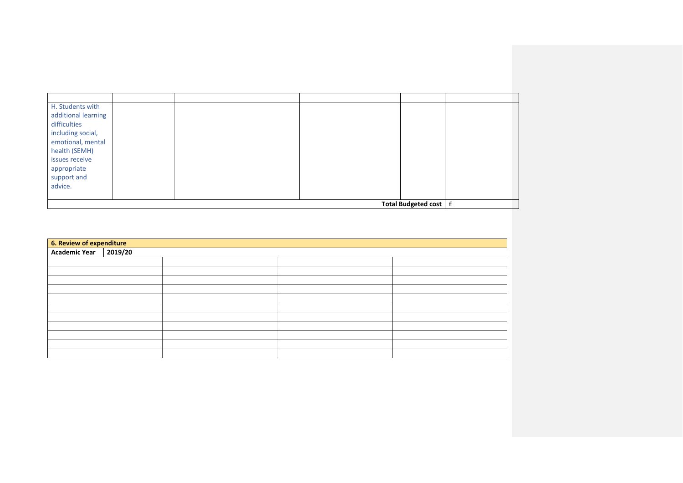| H. Students with        |  |  |  |  |  |
|-------------------------|--|--|--|--|--|
| additional learning     |  |  |  |  |  |
| difficulties            |  |  |  |  |  |
| including social,       |  |  |  |  |  |
| emotional, mental       |  |  |  |  |  |
| health (SEMH)           |  |  |  |  |  |
| issues receive          |  |  |  |  |  |
| appropriate             |  |  |  |  |  |
| support and             |  |  |  |  |  |
| advice.                 |  |  |  |  |  |
|                         |  |  |  |  |  |
| Total Budgeted cost $E$ |  |  |  |  |  |

| <b>6. Review of expenditure</b><br><b>Academic Year</b> 2019/20 |  |  |  |  |  |  |
|-----------------------------------------------------------------|--|--|--|--|--|--|
|                                                                 |  |  |  |  |  |  |
|                                                                 |  |  |  |  |  |  |
|                                                                 |  |  |  |  |  |  |
|                                                                 |  |  |  |  |  |  |
|                                                                 |  |  |  |  |  |  |
|                                                                 |  |  |  |  |  |  |
|                                                                 |  |  |  |  |  |  |
|                                                                 |  |  |  |  |  |  |
|                                                                 |  |  |  |  |  |  |
|                                                                 |  |  |  |  |  |  |
|                                                                 |  |  |  |  |  |  |
|                                                                 |  |  |  |  |  |  |